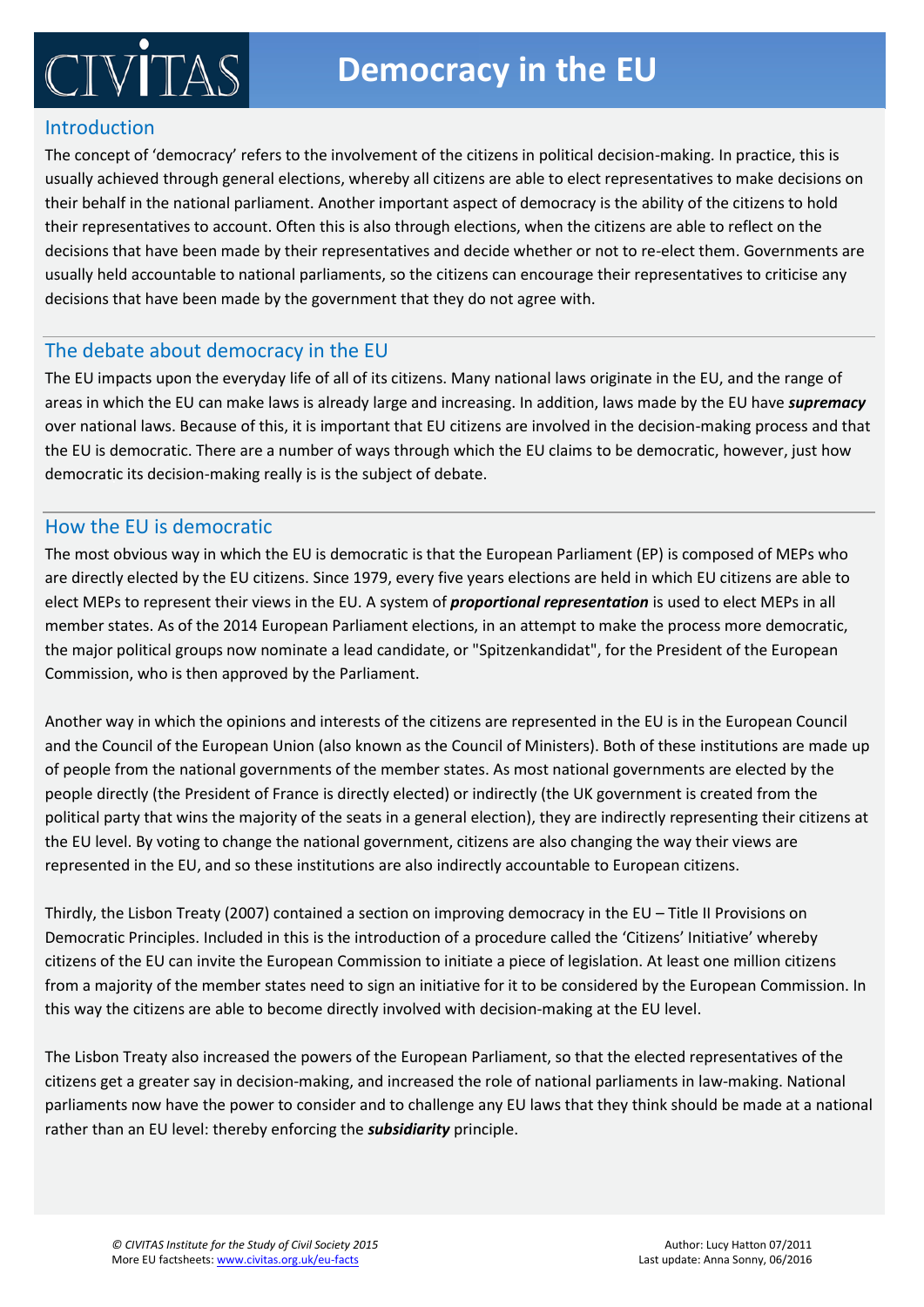# **Democracy in the EU**

### Introduction

 $\mathbb{C} \mathbb{IV}^r$ 

The concept of 'democracy' refers to the involvement of the citizens in political decision-making. In practice, this is usually achieved through general elections, whereby all citizens are able to elect representatives to make decisions on their behalf in the national parliament. Another important aspect of democracy is the ability of the citizens to hold their representatives to account. Often this is also through elections, when the citizens are able to reflect on the decisions that have been made by their representatives and decide whether or not to re-elect them. Governments are usually held accountable to national parliaments, so the citizens can encourage their representatives to criticise any decisions that have been made by the government that they do not agree with.

### The debate about democracy in the EU

The EU impacts upon the everyday life of all of its citizens. Many national laws originate in the EU, and the range of areas in which the EU can make laws is already large and increasing. In addition, laws made by the EU have *supremacy* over national laws. Because of this, it is important that EU citizens are involved in the decision-making process and that democratic its decision-making really is is the subject of debate. the EU is democratic. There are a number of ways through which the EU claims to be democratic, however, just how

#### How the EU is democratic

elect MEPs to represent their views in the EU. A system of *proportional representation* is used to elect MEPs in all member states. As of the 2014 European Parliament elections, in an attempt to make the process more democratic, the major political groups now nominate a lead candidate, or "Spitzenkandidat", for the President of the European Commission, who is then approved by the Parliament. The parliament in a particularly parallel and particular in a particular of government in a particular in a particular in a particular in a particular in a particular in The most obvious way in which the EU is democratic is that the European Parliament (EP) is composed of MEPs who are directly elected by the EU citizens. Since 1979, every five years elections are held in which EU citizens are able to

Another way in which the opinions and interests of the citizens are represented in the EU is in the European Council and the Council of the European Union (also known as the Council of Ministers). Both of these institutions are made up of people from the national governments of the member states. As most national governments are elected by the and the Minister (or chancellor) as Head of Correllor Correllor (or chancellor).<br>Political party that wins the majority of the seats in a general election), they are indirectly representing their citizens at the EU level. By voting to change the national government, citizens are also changing the way their views are the way their views are people directly (the President of France is directly elected) or indirectly (the UK government is created from the represented in the EU, and so these institutions are also indirectly accountable to European citizens.

citizens of the EU can invite the European Commission to initiate a piece of legislation. At least one million citizens from a majority of the member states need to sign an initiative for it to be considered by the European Commission. In this way the citizens are able to become directly involved with decision-making at the EU level. Thirdly, the Lisbon Treaty (2007) contained a section on improving democracy in the EU – Title II Provisions on Democratic Principles. Included in this is the introduction of a procedure called the 'Citizens' Initiative' whereby

The Lisbon Treaty also increased the powers of the European Parliament, so that the elected representatives of the citizens get a greater say in decision-making, and increased the role of national parliaments in law-making. National parliaments now have the power to consider and to challenge any EU laws that they think should be made at a national rather than an EU level: thereby enforcing the *subsidiarity* principle.